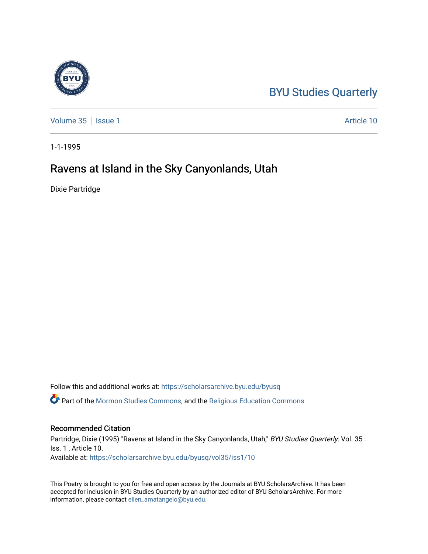## [BYU Studies Quarterly](https://scholarsarchive.byu.edu/byusq)

[Volume 35](https://scholarsarchive.byu.edu/byusq/vol35) | [Issue 1](https://scholarsarchive.byu.edu/byusq/vol35/iss1) Article 10

1-1-1995

## Ravens at Island in the Sky Canyonlands, Utah

Dixie Partridge

Follow this and additional works at: [https://scholarsarchive.byu.edu/byusq](https://scholarsarchive.byu.edu/byusq?utm_source=scholarsarchive.byu.edu%2Fbyusq%2Fvol35%2Fiss1%2F10&utm_medium=PDF&utm_campaign=PDFCoverPages) 

Part of the [Mormon Studies Commons](http://network.bepress.com/hgg/discipline/1360?utm_source=scholarsarchive.byu.edu%2Fbyusq%2Fvol35%2Fiss1%2F10&utm_medium=PDF&utm_campaign=PDFCoverPages), and the [Religious Education Commons](http://network.bepress.com/hgg/discipline/1414?utm_source=scholarsarchive.byu.edu%2Fbyusq%2Fvol35%2Fiss1%2F10&utm_medium=PDF&utm_campaign=PDFCoverPages) 

## Recommended Citation

Partridge, Dixie (1995) "Ravens at Island in the Sky Canyonlands, Utah," BYU Studies Quarterly: Vol. 35 : Iss. 1 , Article 10. Available at: [https://scholarsarchive.byu.edu/byusq/vol35/iss1/10](https://scholarsarchive.byu.edu/byusq/vol35/iss1/10?utm_source=scholarsarchive.byu.edu%2Fbyusq%2Fvol35%2Fiss1%2F10&utm_medium=PDF&utm_campaign=PDFCoverPages) 

This Poetry is brought to you for free and open access by the Journals at BYU ScholarsArchive. It has been accepted for inclusion in BYU Studies Quarterly by an authorized editor of BYU ScholarsArchive. For more information, please contact [ellen\\_amatangelo@byu.edu.](mailto:ellen_amatangelo@byu.edu)